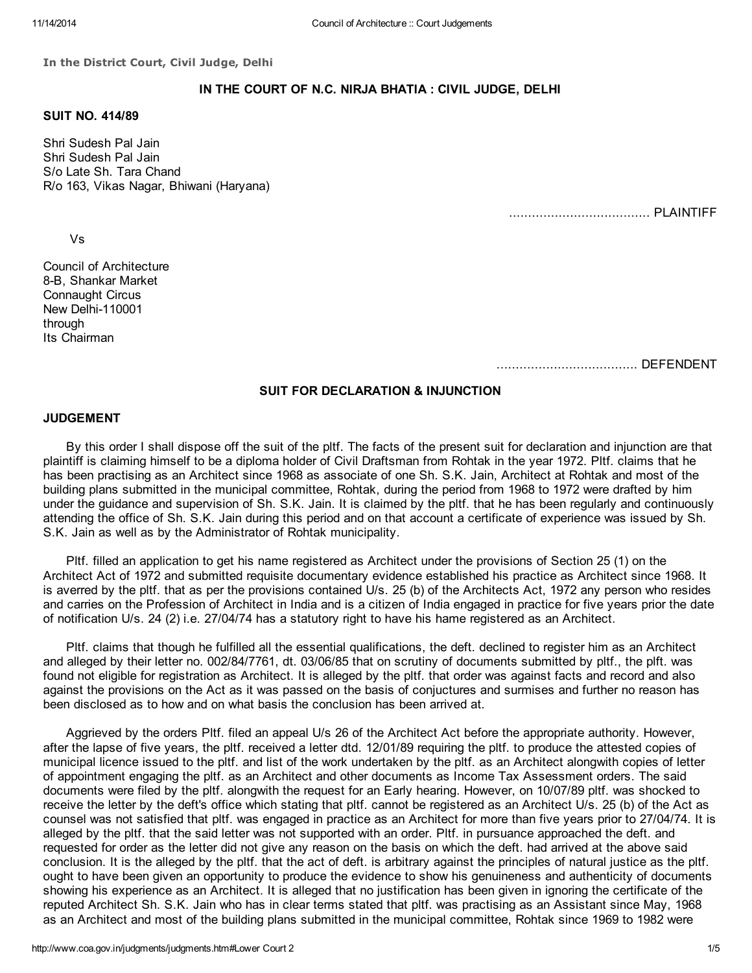In the District Court, Civil Judge, Delhi

# IN THE COURT OF N.C. NIRJA BHATIA : CIVIL JUDGE, DELHI

# SUIT NO. 414/89

Shri Sudesh Pal Jain Shri Sudesh Pal Jain S/o Late Sh. Tara Chand R/o 163, Vikas Nagar, Bhiwani (Haryana)

..................................... PLAINTIFF

Vs

Council of Architecture 8-B, Shankar Market Connaught Circus New Delhi-110001 through Its Chairman

..................................... DEFENDENT

### SUIT FOR DECLARATION & INJUNCTION

### JUDGEMENT

By this order I shall dispose off the suit of the pltf. The facts of the present suit for declaration and injunction are that plaintiff is claiming himself to be a diploma holder of Civil Draftsman from Rohtak in the year 1972. Pltf. claims that he has been practising as an Architect since 1968 as associate of one Sh. S.K. Jain, Architect at Rohtak and most of the building plans submitted in the municipal committee, Rohtak, during the period from 1968 to 1972 were drafted by him under the guidance and supervision of Sh. S.K. Jain. It is claimed by the pltf. that he has been regularly and continuously attending the office of Sh. S.K. Jain during this period and on that account a certificate of experience was issued by Sh. S.K. Jain as well as by the Administrator of Rohtak municipality.

Pltf. filled an application to get his name registered as Architect under the provisions of Section 25 (1) on the Architect Act of 1972 and submitted requisite documentary evidence established his practice as Architect since 1968. It is averred by the pltf. that as per the provisions contained U/s. 25 (b) of the Architects Act, 1972 any person who resides and carries on the Profession of Architect in India and is a citizen of India engaged in practice for five years prior the date of notification U/s. 24 (2) i.e. 27/04/74 has a statutory right to have his hame registered as an Architect.

Pltf. claims that though he fulfilled all the essential qualifications, the deft. declined to register him as an Architect and alleged by their letter no. 002/84/7761, dt. 03/06/85 that on scrutiny of documents submitted by pltf., the plft. was found not eligible for registration as Architect. It is alleged by the pltf. that order was against facts and record and also against the provisions on the Act as it was passed on the basis of conjuctures and surmises and further no reason has been disclosed as to how and on what basis the conclusion has been arrived at.

Aggrieved by the orders Pltf. filed an appeal U/s 26 of the Architect Act before the appropriate authority. However, after the lapse of five years, the pltf. received a letter dtd. 12/01/89 requiring the pltf. to produce the attested copies of municipal licence issued to the pltf. and list of the work undertaken by the pltf. as an Architect alongwith copies of letter of appointment engaging the pltf. as an Architect and other documents as Income Tax Assessment orders. The said documents were filed by the pltf. alongwith the request for an Early hearing. However, on 10/07/89 pltf. was shocked to receive the letter by the deft's office which stating that pltf. cannot be registered as an Architect U/s. 25 (b) of the Act as counsel was not satisfied that pltf. was engaged in practice as an Architect for more than five years prior to 27/04/74. It is alleged by the pltf. that the said letter was not supported with an order. Pltf. in pursuance approached the deft. and requested for order as the letter did not give any reason on the basis on which the deft. had arrived at the above said conclusion. It is the alleged by the pltf. that the act of deft. is arbitrary against the principles of natural justice as the pltf. ought to have been given an opportunity to produce the evidence to show his genuineness and authenticity of documents showing his experience as an Architect. It is alleged that no justification has been given in ignoring the certificate of the reputed Architect Sh. S.K. Jain who has in clear terms stated that pltf. was practising as an Assistant since May, 1968 as an Architect and most of the building plans submitted in the municipal committee, Rohtak since 1969 to 1982 were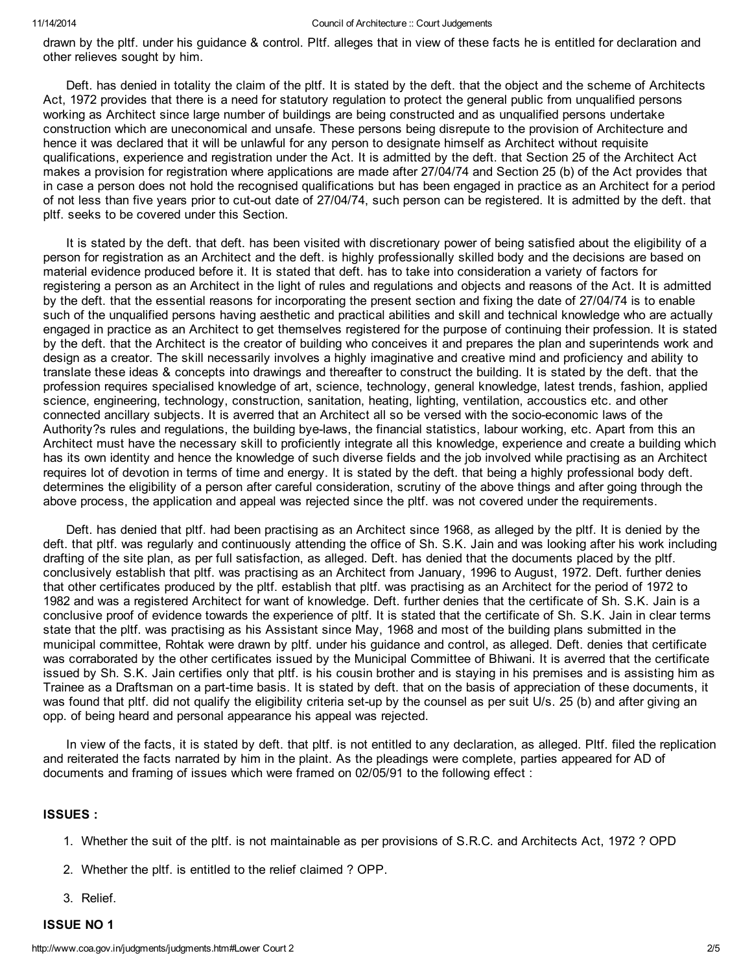drawn by the pltf. under his guidance & control. Pltf. alleges that in view of these facts he is entitled for declaration and other relieves sought by him.

Deft. has denied in totality the claim of the pltf. It is stated by the deft. that the object and the scheme of Architects Act, 1972 provides that there is a need for statutory regulation to protect the general public from unqualified persons working as Architect since large number of buildings are being constructed and as unqualified persons undertake construction which are uneconomical and unsafe. These persons being disrepute to the provision of Architecture and hence it was declared that it will be unlawful for any person to designate himself as Architect without requisite qualifications, experience and registration under the Act. It is admitted by the deft. that Section 25 of the Architect Act makes a provision for registration where applications are made after 27/04/74 and Section 25 (b) of the Act provides that in case a person does not hold the recognised qualifications but has been engaged in practice as an Architect for a period of not less than five years prior to cut-out date of 27/04/74, such person can be registered. It is admitted by the deft. that pltf. seeks to be covered under this Section.

It is stated by the deft. that deft. has been visited with discretionary power of being satisfied about the eligibility of a person for registration as an Architect and the deft. is highly professionally skilled body and the decisions are based on material evidence produced before it. It is stated that deft. has to take into consideration a variety of factors for registering a person as an Architect in the light of rules and regulations and objects and reasons of the Act. It is admitted by the deft. that the essential reasons for incorporating the present section and fixing the date of 27/04/74 is to enable such of the unqualified persons having aesthetic and practical abilities and skill and technical knowledge who are actually engaged in practice as an Architect to get themselves registered for the purpose of continuing their profession. It is stated by the deft. that the Architect is the creator of building who conceives it and prepares the plan and superintends work and design as a creator. The skill necessarily involves a highly imaginative and creative mind and proficiency and ability to translate these ideas & concepts into drawings and thereafter to construct the building. It is stated by the deft. that the profession requires specialised knowledge of art, science, technology, general knowledge, latest trends, fashion, applied science, engineering, technology, construction, sanitation, heating, lighting, ventilation, accoustics etc. and other connected ancillary subjects. It is averred that an Architect all so be versed with the socio-economic laws of the Authority?s rules and regulations, the building bye-laws, the financial statistics, labour working, etc. Apart from this an Architect must have the necessary skill to proficiently integrate all this knowledge, experience and create a building which has its own identity and hence the knowledge of such diverse fields and the job involved while practising as an Architect requires lot of devotion in terms of time and energy. It is stated by the deft. that being a highly professional body deft. determines the eligibility of a person after careful consideration, scrutiny of the above things and after going through the above process, the application and appeal was rejected since the pltf. was not covered under the requirements.

Deft. has denied that pltf. had been practising as an Architect since 1968, as alleged by the pltf. It is denied by the deft. that pltf. was regularly and continuously attending the office of Sh. S.K. Jain and was looking after his work including drafting of the site plan, as per full satisfaction, as alleged. Deft. has denied that the documents placed by the pltf. conclusively establish that pltf. was practising as an Architect from January, 1996 to August, 1972. Deft. further denies that other certificates produced by the pltf. establish that pltf. was practising as an Architect for the period of 1972 to 1982 and was a registered Architect for want of knowledge. Deft. further denies that the certificate of Sh. S.K. Jain is a conclusive proof of evidence towards the experience of pltf. It is stated that the certificate of Sh. S.K. Jain in clear terms state that the pltf. was practising as his Assistant since May, 1968 and most of the building plans submitted in the municipal committee, Rohtak were drawn by pltf. under his guidance and control, as alleged. Deft. denies that certificate was corraborated by the other certificates issued by the Municipal Committee of Bhiwani. It is averred that the certificate issued by Sh. S.K. Jain certifies only that pltf. is his cousin brother and is staying in his premises and is assisting him as Trainee as a Draftsman on a part-time basis. It is stated by deft. that on the basis of appreciation of these documents, it was found that pltf. did not qualify the eligibility criteria set-up by the counsel as per suit U/s. 25 (b) and after giving an opp. of being heard and personal appearance his appeal was rejected.

In view of the facts, it is stated by deft. that pltf. is not entitled to any declaration, as alleged. Pltf. filed the replication and reiterated the facts narrated by him in the plaint. As the pleadings were complete, parties appeared for AD of documents and framing of issues which were framed on 02/05/91 to the following effect :

## ISSUES :

- 1. Whether the suit of the pltf. is not maintainable as per provisions of S.R.C. and Architects Act, 1972 ? OPD
- 2. Whether the pltf. is entitled to the relief claimed ? OPP.
- 3. Relief.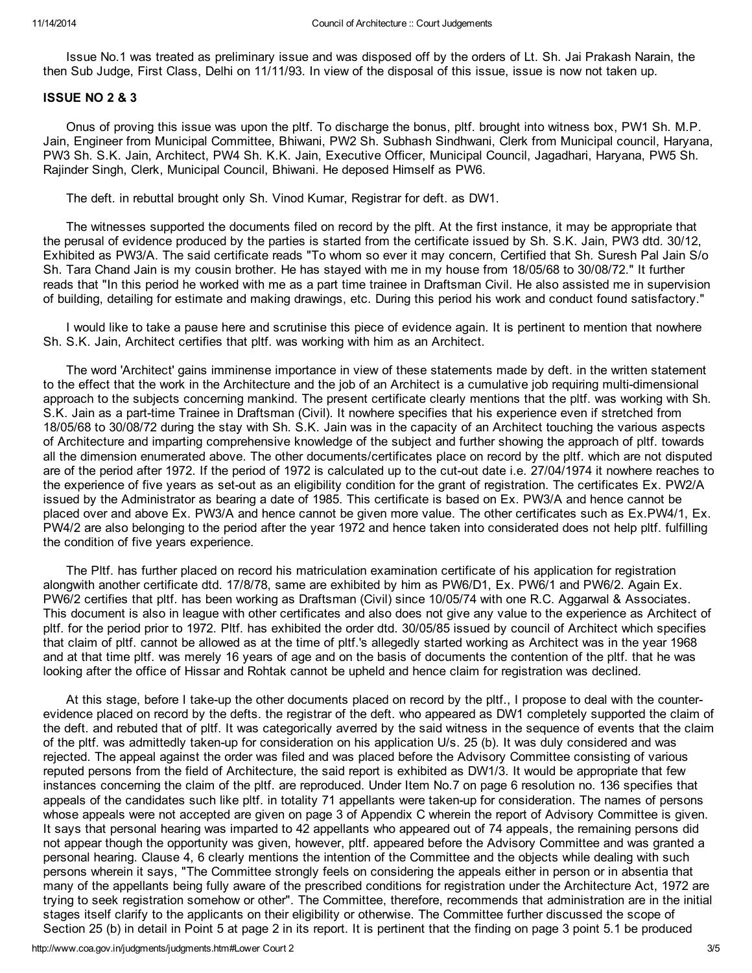Issue No.1 was treated as preliminary issue and was disposed off by the orders of Lt. Sh. Jai Prakash Narain, the then Sub Judge, First Class, Delhi on 11/11/93. In view of the disposal of this issue, issue is now not taken up.

## ISSUE NO 2 & 3

Onus of proving this issue was upon the pltf. To discharge the bonus, pltf. brought into witness box, PW1 Sh. M.P. Jain, Engineer from Municipal Committee, Bhiwani, PW2 Sh. Subhash Sindhwani, Clerk from Municipal council, Haryana, PW3 Sh. S.K. Jain, Architect, PW4 Sh. K.K. Jain, Executive Officer, Municipal Council, Jagadhari, Haryana, PW5 Sh. Rajinder Singh, Clerk, Municipal Council, Bhiwani. He deposed Himself as PW6.

The deft. in rebuttal brought only Sh. Vinod Kumar, Registrar for deft. as DW1.

The witnesses supported the documents filed on record by the plft. At the first instance, it may be appropriate that the perusal of evidence produced by the parties is started from the certificate issued by Sh. S.K. Jain, PW3 dtd. 30/12, Exhibited as PW3/A. The said certificate reads "To whom so ever it may concern, Certified that Sh. Suresh Pal Jain S/o Sh. Tara Chand Jain is my cousin brother. He has stayed with me in my house from 18/05/68 to 30/08/72." It further reads that "In this period he worked with me as a part time trainee in Draftsman Civil. He also assisted me in supervision of building, detailing for estimate and making drawings, etc. During this period his work and conduct found satisfactory."

I would like to take a pause here and scrutinise this piece of evidence again. It is pertinent to mention that nowhere Sh. S.K. Jain, Architect certifies that pltf. was working with him as an Architect.

The word 'Architect' gains imminense importance in view of these statements made by deft. in the written statement to the effect that the work in the Architecture and the job of an Architect is a cumulative job requiring multi-dimensional approach to the subjects concerning mankind. The present certificate clearly mentions that the pltf. was working with Sh. S.K. Jain as a part-time Trainee in Draftsman (Civil). It nowhere specifies that his experience even if stretched from 18/05/68 to 30/08/72 during the stay with Sh. S.K. Jain was in the capacity of an Architect touching the various aspects of Architecture and imparting comprehensive knowledge of the subject and further showing the approach of pltf. towards all the dimension enumerated above. The other documents/certificates place on record by the pltf. which are not disputed are of the period after 1972. If the period of 1972 is calculated up to the cut-out date i.e. 27/04/1974 it nowhere reaches to the experience of five years as set-out as an eligibility condition for the grant of registration. The certificates Ex. PW2/A issued by the Administrator as bearing a date of 1985. This certificate is based on Ex. PW3/A and hence cannot be placed over and above Ex. PW3/A and hence cannot be given more value. The other certificates such as Ex.PW4/1, Ex. PW4/2 are also belonging to the period after the year 1972 and hence taken into considerated does not help pltf. fulfilling the condition of five years experience.

The Pltf. has further placed on record his matriculation examination certificate of his application for registration alongwith another certificate dtd. 17/8/78, same are exhibited by him as PW6/D1, Ex. PW6/1 and PW6/2. Again Ex. PW6/2 certifies that pltf. has been working as Draftsman (Civil) since 10/05/74 with one R.C. Aggarwal & Associates. This document is also in league with other certificates and also does not give any value to the experience as Architect of pltf. for the period prior to 1972. Pltf. has exhibited the order dtd. 30/05/85 issued by council of Architect which specifies that claim of pltf. cannot be allowed as at the time of pltf.'s allegedly started working as Architect was in the year 1968 and at that time pltf. was merely 16 years of age and on the basis of documents the contention of the pltf. that he was looking after the office of Hissar and Rohtak cannot be upheld and hence claim for registration was declined.

At this stage, before I take-up the other documents placed on record by the pltf., I propose to deal with the counterevidence placed on record by the defts. the registrar of the deft. who appeared as DW1 completely supported the claim of the deft. and rebuted that of pltf. It was categorically averred by the said witness in the sequence of events that the claim of the pltf. was admittedly taken-up for consideration on his application U/s. 25 (b). It was duly considered and was rejected. The appeal against the order was filed and was placed before the Advisory Committee consisting of various reputed persons from the field of Architecture, the said report is exhibited as DW1/3. It would be appropriate that few instances concerning the claim of the pltf. are reproduced. Under Item No.7 on page 6 resolution no. 136 specifies that appeals of the candidates such like pltf. in totality 71 appellants were taken-up for consideration. The names of persons whose appeals were not accepted are given on page 3 of Appendix C wherein the report of Advisory Committee is given. It says that personal hearing was imparted to 42 appellants who appeared out of 74 appeals, the remaining persons did not appear though the opportunity was given, however, pltf. appeared before the Advisory Committee and was granted a personal hearing. Clause 4, 6 clearly mentions the intention of the Committee and the objects while dealing with such persons wherein it says, "The Committee strongly feels on considering the appeals either in person or in absentia that many of the appellants being fully aware of the prescribed conditions for registration under the Architecture Act, 1972 are trying to seek registration somehow or other". The Committee, therefore, recommends that administration are in the initial stages itself clarify to the applicants on their eligibility or otherwise. The Committee further discussed the scope of Section 25 (b) in detail in Point 5 at page 2 in its report. It is pertinent that the finding on page 3 point 5.1 be produced